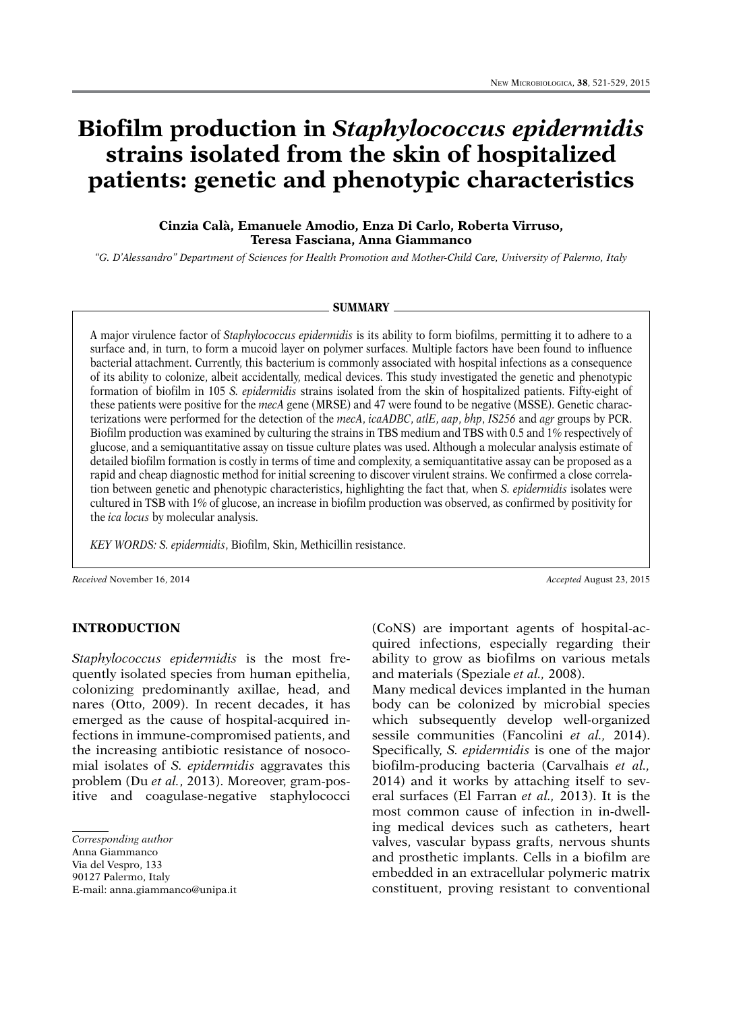# **Biofilm production in** *Staphylococcus epidermidis* **strains isolated from the skin of hospitalized patients: genetic and phenotypic characteristics**

# **Cinzia Calà, Emanuele Amodio, Enza Di Carlo, Roberta Virruso, Teresa Fasciana, Anna Giammanco**

*"G. D'Alessandro" Department of Sciences for Health Promotion and Mother-Child Care, University of Palermo, Italy*

#### **Summary**

A major virulence factor of *Staphylococcus epidermidis* is its ability to form biofilms, permitting it to adhere to a surface and, in turn, to form a mucoid layer on polymer surfaces. Multiple factors have been found to influence bacterial attachment. Currently, this bacterium is commonly associated with hospital infections as a consequence of its ability to colonize, albeit accidentally, medical devices. This study investigated the genetic and phenotypic formation of biofilm in 105 *S. epidermidis* strains isolated from the skin of hospitalized patients. Fifty-eight of these patients were positive for the *mecA* gene (MRSE) and 47 were found to be negative (MSSE). Genetic characterizations were performed for the detection of the *mecA*, *icaADBC*, *atlE*, *aap*, *bhp*, *IS256* and *agr* groups by PCR. Biofilm production was examined by culturing the strains in TBS medium and TBS with 0.5 and 1% respectively of glucose, and a semiquantitative assay on tissue culture plates was used. Although a molecular analysis estimate of detailed biofilm formation is costly in terms of time and complexity, a semiquantitative assay can be proposed as a rapid and cheap diagnostic method for initial screening to discover virulent strains. We confirmed a close correlation between genetic and phenotypic characteristics, highlighting the fact that, when *S. epidermidis* isolates were cultured in TSB with 1% of glucose, an increase in biofilm production was observed, as confirmed by positivity for the *ica locus* by molecular analysis.

*KEY WORDS: S. epidermidis*, Biofilm, Skin, Methicillin resistance.

*Received* November 16, 2014 *Accepted* August 23, 2015

## **INTRODUCTION**

*Staphylococcus epidermidis* is the most frequently isolated species from human epithelia, colonizing predominantly axillae, head, and nares (Otto, 2009). In recent decades, it has emerged as the cause of hospital-acquired infections in immune-compromised patients, and the increasing antibiotic resistance of nosocomial isolates of *S. epidermidis* aggravates this problem (Du *et al.*, 2013). Moreover, gram-positive and coagulase-negative staphylococci

*Corresponding author*

90127 Palermo, Italy E-mail: anna.giammanco@unipa.it (CoNS) are important agents of hospital-acquired infections, especially regarding their ability to grow as biofilms on various metals and materials (Speziale *et al.,* 2008).

Many medical devices implanted in the human body can be colonized by microbial species which subsequently develop well-organized sessile communities (Fancolini *et al.,* 2014). Specifically, *S. epidermidis* is one of the major biofilm-producing bacteria (Carvalhais *et al.,*  2014) and it works by attaching itself to several surfaces (El Farran *et al.,* 2013). It is the most common cause of infection in in-dwelling medical devices such as catheters, heart valves, vascular bypass grafts, nervous shunts and prosthetic implants. Cells in a biofilm are embedded in an extracellular polymeric matrix constituent, proving resistant to conventional

Anna Giammanco

Via del Vespro, 133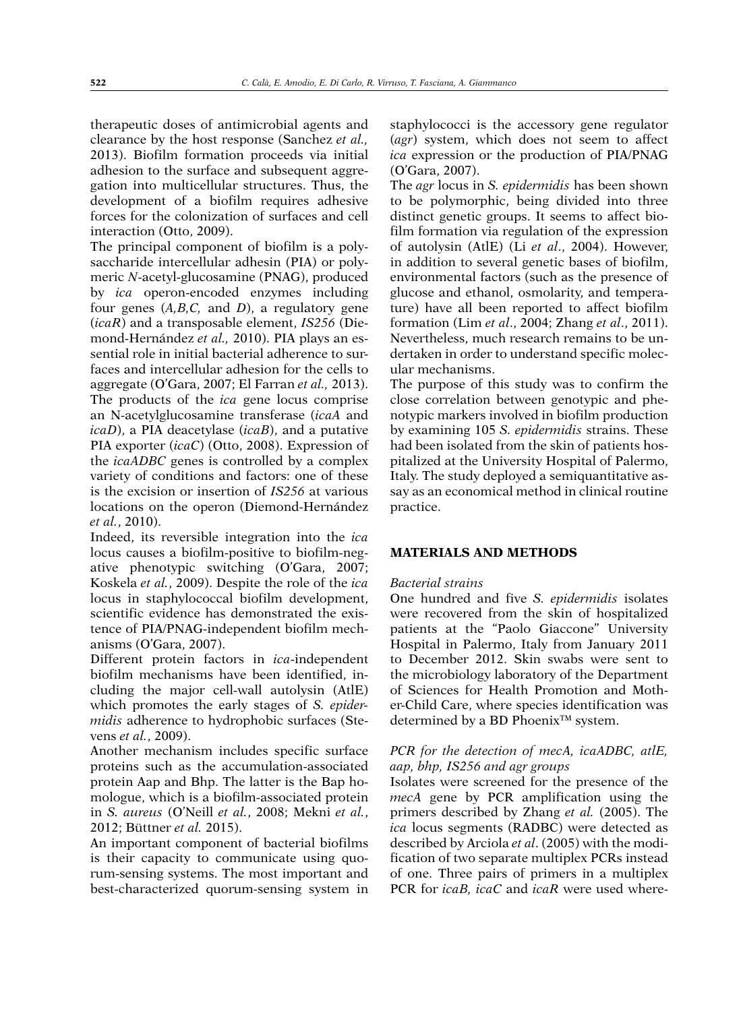therapeutic doses of antimicrobial agents and clearance by the host response (Sanchez *et al.,* 2013). Biofilm formation proceeds via initial adhesion to the surface and subsequent aggregation into multicellular structures. Thus, the development of a biofilm requires adhesive forces for the colonization of surfaces and cell interaction (Otto, 2009).

The principal component of biofilm is a polysaccharide intercellular adhesin (PIA) or polymeric *N*-acetyl-glucosamine (PNAG), produced by *ica* operon-encoded enzymes including four genes (*A,B,C,* and *D*), a regulatory gene (*icaR*) and a transposable element, *IS256* (Diemond-Hernández *et al.,* 2010). PIA plays an essential role in initial bacterial adherence to surfaces and intercellular adhesion for the cells to aggregate (O'Gara, 2007; El Farran *et al.,* 2013). The products of the *ica* gene locus comprise an N-acetylglucosamine transferase (*icaA* and *icaD*), a PIA deacetylase (*icaB*), and a putative PIA exporter (*icaC*) (Otto, 2008). Expression of the *icaADBC* genes is controlled by a complex variety of conditions and factors: one of these is the excision or insertion of *IS256* at various locations on the operon (Diemond-Hernández *et al.*, 2010).

Indeed, its reversible integration into the *ica* locus causes a biofilm-positive to biofilm-negative phenotypic switching (O'Gara, 2007; Koskela *et al.*, 2009). Despite the role of the *ica* locus in staphylococcal biofilm development, scientific evidence has demonstrated the existence of PIA/PNAG-independent biofilm mechanisms (O'Gara, 2007).

Different protein factors in *ica*-independent biofilm mechanisms have been identified, including the major cell-wall autolysin (AtlE) which promotes the early stages of *S. epidermidis* adherence to hydrophobic surfaces (Stevens *et al.*, 2009).

Another mechanism includes specific surface proteins such as the accumulation-associated protein Aap and Bhp. The latter is the Bap homologue, which is a biofilm-associated protein in *S. aureus* (O'Neill *et al.*, 2008; Mekni *et al.*, 2012; Büttner *et al.* 2015).

An important component of bacterial biofilms is their capacity to communicate using quorum-sensing systems. The most important and best-characterized quorum-sensing system in

staphylococci is the accessory gene regulator (*agr*) system, which does not seem to affect *ica* expression or the production of PIA/PNAG (O'Gara, 2007).

The *agr* locus in *S. epidermidis* has been shown to be polymorphic, being divided into three distinct genetic groups. It seems to affect biofilm formation via regulation of the expression of autolysin (AtlE) (Li *et al*., 2004). However, in addition to several genetic bases of biofilm, environmental factors (such as the presence of glucose and ethanol, osmolarity, and temperature) have all been reported to affect biofilm formation (Lim *et al*., 2004; Zhang *et al*., 2011). Nevertheless, much research remains to be undertaken in order to understand specific molecular mechanisms.

The purpose of this study was to confirm the close correlation between genotypic and phenotypic markers involved in biofilm production by examining 105 *S. epidermidis* strains. These had been isolated from the skin of patients hospitalized at the University Hospital of Palermo, Italy. The study deployed a semiquantitative assay as an economical method in clinical routine practice.

## **MATERIALS AND METHODS**

## *Bacterial strains*

One hundred and five *S. epidermidis* isolates were recovered from the skin of hospitalized patients at the "Paolo Giaccone" University Hospital in Palermo, Italy from January 2011 to December 2012. Skin swabs were sent to the microbiology laboratory of the Department of Sciences for Health Promotion and Mother-Child Care, where species identification was determined by a BD Phoenix<sup>™</sup> system.

# *PCR for the detection of mecA, icaADBC, atlE, aap, bhp, IS256 and agr groups*

Isolates were screened for the presence of the *mecA* gene by PCR amplification using the primers described by Zhang *et al.* (2005). The *ica* locus segments (RADBC) were detected as described by Arciola *et al*. (2005) with the modification of two separate multiplex PCRs instead of one. Three pairs of primers in a multiplex PCR for *icaB, icaC* and *icaR* were used where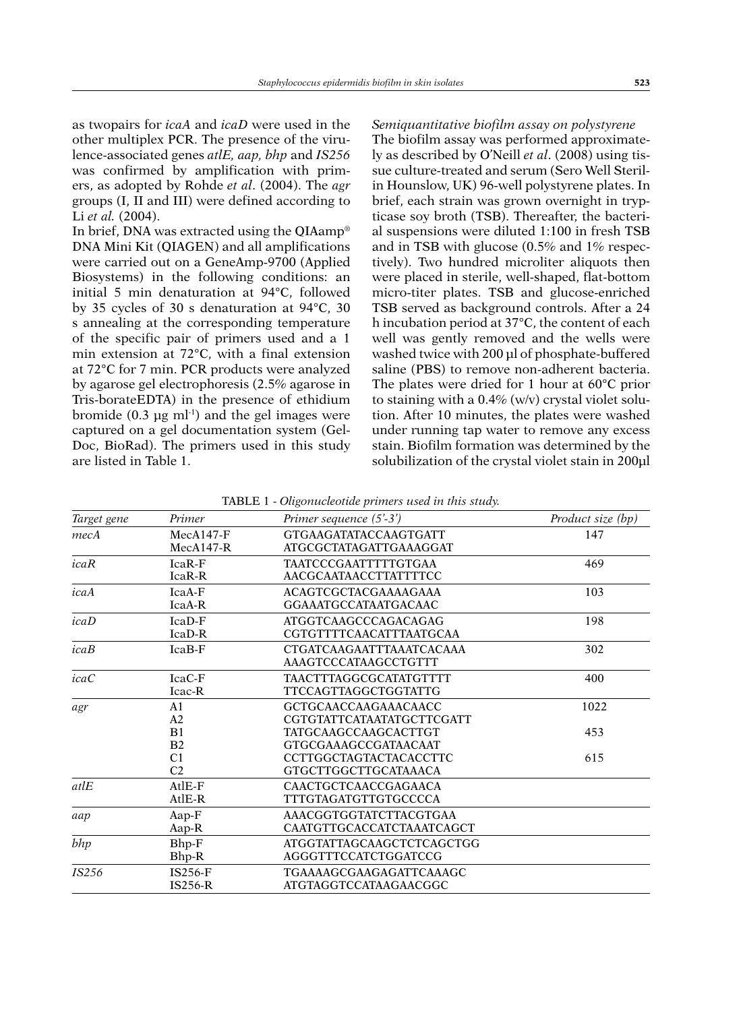as twopairs for *icaA* and *icaD* were used in the other multiplex PCR. The presence of the virulence-associated genes *atlE, aap, bhp* and *IS256*  was confirmed by amplification with primers, as adopted by Rohde *et al*. (2004). The *agr* groups (I, II and III) were defined according to Li *et al.* (2004).

In brief, DNA was extracted using the QIAamp® DNA Mini Kit (QIAGEN) and all amplifications were carried out on a GeneAmp-9700 (Applied Biosystems) in the following conditions: an initial 5 min denaturation at 94°C, followed by 35 cycles of 30 s denaturation at 94°C, 30 s annealing at the corresponding temperature of the specific pair of primers used and a 1 min extension at 72°C, with a final extension at 72°C for 7 min. PCR products were analyzed by agarose gel electrophoresis (2.5% agarose in Tris-borateEDTA) in the presence of ethidium bromide  $(0.3 \text{ µg ml}^{-1})$  and the gel images were captured on a gel documentation system (Gel-Doc, BioRad). The primers used in this study are listed in Table 1.

*Semiquantitative biofilm assay on polystyrene* The biofilm assay was performed approximately as described by O'Neill *et al*. (2008) using tissue culture-treated and serum (Sero Well Sterilin Hounslow, UK) 96-well polystyrene plates. In brief, each strain was grown overnight in trypticase soy broth (TSB). Thereafter, the bacterial suspensions were diluted 1:100 in fresh TSB and in TSB with glucose (0.5% and 1% respectively). Two hundred microliter aliquots then were placed in sterile, well-shaped, flat-bottom micro-titer plates. TSB and glucose-enriched TSB served as background controls. After a 24 h incubation period at 37°C, the content of each well was gently removed and the wells were washed twice with 200 µl of phosphate-buffered saline (PBS) to remove non-adherent bacteria. The plates were dried for 1 hour at 60°C prior to staining with a 0.4% (w/v) crystal violet solution. After 10 minutes, the plates were washed under running tap water to remove any excess stain. Biofilm formation was determined by the solubilization of the crystal violet stain in 200µl

| Target gene  | Primer                           | Primer sequence (5'-3')                                           | Product size (bp) |
|--------------|----------------------------------|-------------------------------------------------------------------|-------------------|
| mecA         | $MecA147-F$<br>$MecA147-R$       | <b>GTGAAGATATACCAAGTGATT</b><br>ATGCGCTATAGATTGAAAGGAT            | 147               |
| icaR         | $IcaR-F$<br>IcaR-R               | TAATCCCGAATTTTTGTGAA<br><b>AACGCAATAACCTTATTTTCC</b>              | 469               |
| icaA         | $IcaA-F$<br>IcaA-R               | <b>ACAGTCGCTACGAAAAGAAA</b><br>103<br><b>GGAAATGCCATAATGACAAC</b> |                   |
| icab         | $IcaD-F$<br>$IcaD-R$             | 198<br><b>ATGGTCAAGCCCAGACAGAG</b><br>CGTGTTTTCAACATTTAATGCAA     |                   |
| icaB         | IcaB-F                           | 302<br><b>CTGATCAAGAATTTAAATCACAAA</b><br>AAAGTCCCATAAGCCTGTTT    |                   |
| icaC         | IcaC-F<br>Icac-R                 | TAACTTTAGGCGCATATGTTTT<br>TTCCAGTTAGGCTGGTATTG                    | 400               |
| agr          | A1<br>A2                         | GCTGCAACCAAGAAACAACC<br>CGTGTATTCATAATATGCTTCGATT                 | 1022              |
|              | B <sub>1</sub><br>B <sub>2</sub> | TATGCAAGCCAAGCACTTGT<br><b>GTGCGAAAGCCGATAACAAT</b>               | 453               |
|              | C <sub>1</sub><br>C <sub>2</sub> | CCTTGGCTAGTACTACACCTTC<br>GTGCTTGGCTTGCATAAACA                    | 615               |
| atlE         | $AtIE-F$<br>AtlE-R               | CAACTGCTCAACCGAGAACA<br>TTTGTAGATGTTGTGCCCCA                      |                   |
| aap          | Aap-F<br>Aap-R                   | AAACGGTGGTATCTTACGTGAA<br>CAATGTTGCACCATCTAAATCAGCT               |                   |
| bhp          | Bhp-F<br>Bhp-R                   | ATGGTATTAGCAAGCTCTCAGCTGG<br>AGGGTTTCCATCTGGATCCG                 |                   |
| <i>IS256</i> | IS256-F<br>$IS256-R$             | TGAAAAGCGAAGAGATTCAAAGC<br>ATGTAGGTCCATAAGAACGGC                  |                   |

Table 1 - *Oligonucleotide primers used in this study.*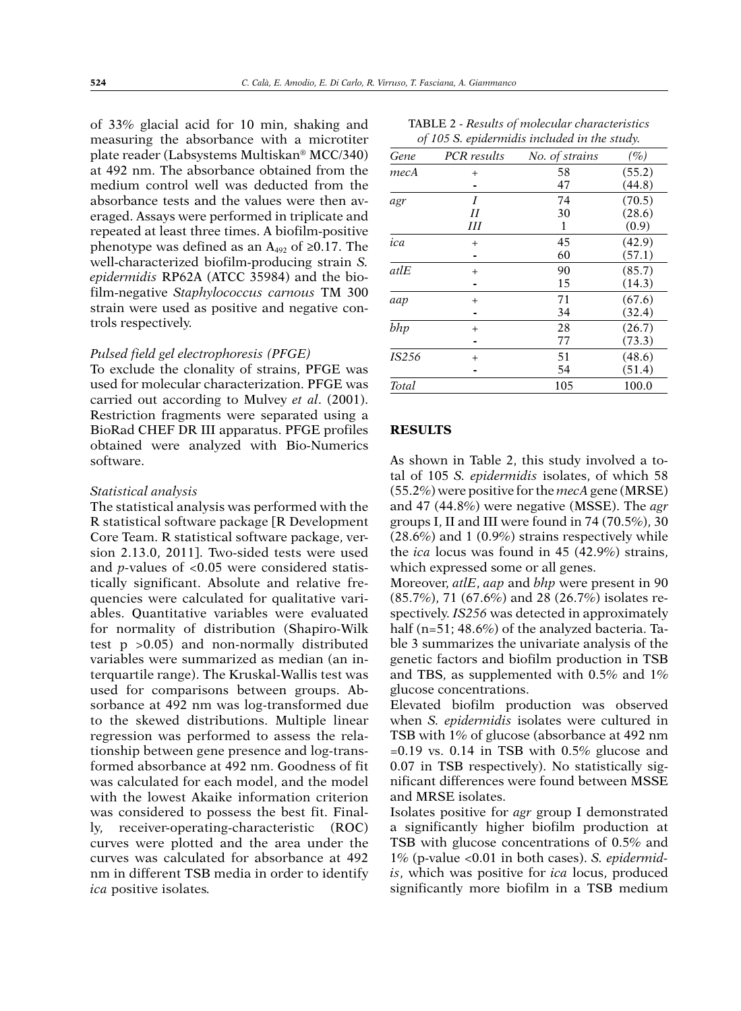of 33% glacial acid for 10 min, shaking and measuring the absorbance with a microtiter plate reader (Labsystems Multiskan® MCC/340) at 492 nm. The absorbance obtained from the medium control well was deducted from the absorbance tests and the values were then averaged. Assays were performed in triplicate and repeated at least three times. A biofilm-positive phenotype was defined as an  $A_{492}$  of ≥0.17. The well-characterized biofilm-producing strain *S. epidermidis* RP62A (ATCC 35984) and the biofilm-negative *Staphylococcus carnous* TM 300 strain were used as positive and negative controls respectively.

## *Pulsed field gel electrophoresis (PFGE)*

To exclude the clonality of strains, PFGE was used for molecular characterization. PFGE was carried out according to Mulvey *et al*. (2001). Restriction fragments were separated using a BioRad CHEF DR III apparatus. PFGE profiles obtained were analyzed with Bio-Numerics software.

#### *Statistical analysis*

The statistical analysis was performed with the R statistical software package [R Development Core Team. R statistical software package, version 2.13.0, 2011]. Two-sided tests were used and *p-*values of <0.05 were considered statistically significant. Absolute and relative frequencies were calculated for qualitative variables. Quantitative variables were evaluated for normality of distribution (Shapiro-Wilk test p >0.05) and non-normally distributed variables were summarized as median (an interquartile range). The Kruskal-Wallis test was used for comparisons between groups. Absorbance at 492 nm was log-transformed due to the skewed distributions. Multiple linear regression was performed to assess the relationship between gene presence and log-transformed absorbance at 492 nm. Goodness of fit was calculated for each model, and the model with the lowest Akaike information criterion was considered to possess the best fit. Finally, receiver-operating-characteristic (ROC) curves were plotted and the area under the curves was calculated for absorbance at 492 nm in different TSB media in order to identify *ica* positive isolates*.*

|       |             | of 105 S. epidermidis included in the study. |        |
|-------|-------------|----------------------------------------------|--------|
| Gene  | PCR results | No. of strains                               | $(\%)$ |
| тесА  | $^{+}$      | 58                                           | (55.2) |
|       |             | 47                                           | (44.8) |
| agr   | I           | 74                                           | (70.5) |
|       | II          | 30                                           | (28.6) |
|       | Ш           | 1                                            | (0.9)  |
| ica   | $+$         | 45                                           | (42.9) |
|       |             | 60                                           | (57.1) |
| atlE  | $+$         | 90                                           | (85.7) |
|       |             | 15                                           | (14.3) |
| aap   | $^{+}$      | 71                                           | (67.6) |
|       |             | 34                                           | (32.4) |
| bhp   | $^{+}$      | 28                                           | (26.7) |
|       |             | 77                                           | (73.3) |
| IS256 | $^{+}$      | 51                                           | (48.6) |
|       |             | 54                                           | (51.4) |
| Total |             | 105                                          | 100.0  |

Table 2 - *Results of molecular characteristics* 

## **RESULTS**

As shown in Table 2, this study involved a total of 105 *S. epidermidis* isolates, of which 58 (55.2%) were positive for the *mecA* gene (MRSE) and 47 (44.8%) were negative (MSSE). The *agr* groups I, II and III were found in 74 (70.5%), 30 (28.6%) and 1 (0.9%) strains respectively while the *ica* locus was found in 45 (42.9%) strains, which expressed some or all genes.

Moreover, *atlE*, *aap* and *bhp* were present in 90 (85.7%), 71 (67.6%) and 28 (26.7%) isolates respectively. *IS256* was detected in approximately half (n=51; 48.6%) of the analyzed bacteria. Table 3 summarizes the univariate analysis of the genetic factors and biofilm production in TSB and TBS, as supplemented with 0.5% and 1% glucose concentrations.

Elevated biofilm production was observed when *S. epidermidis* isolates were cultured in TSB with 1% of glucose (absorbance at 492 nm  $=0.19$  vs. 0.14 in TSB with 0.5% glucose and 0.07 in TSB respectively). No statistically significant differences were found between MSSE and MRSE isolates.

Isolates positive for *agr* group I demonstrated a significantly higher biofilm production at TSB with glucose concentrations of 0.5% and 1% (p-value <0.01 in both cases). *S. epidermidis*, which was positive for *ica* locus, produced significantly more biofilm in a TSB medium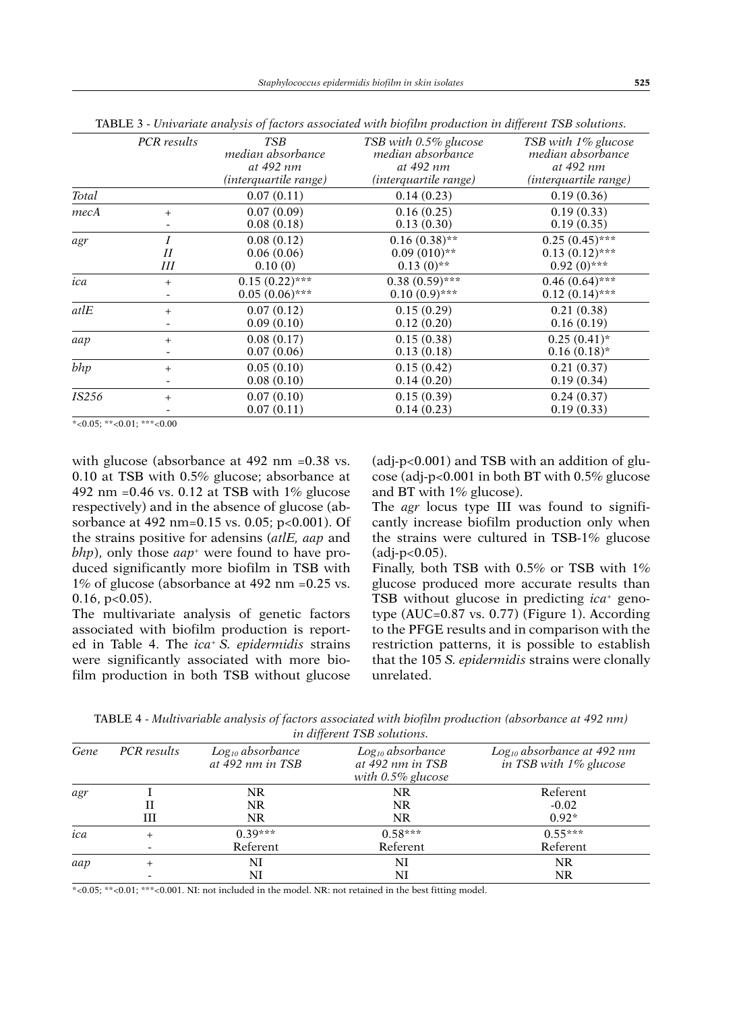| charge and contract of factors associated many storms productions and as somethouse |             |                                                                              |                                                                                  |                                                                                       |
|-------------------------------------------------------------------------------------|-------------|------------------------------------------------------------------------------|----------------------------------------------------------------------------------|---------------------------------------------------------------------------------------|
|                                                                                     | PCR results | <b>TSB</b><br>median absorbance<br>at 492 nm<br><i>(interquartile range)</i> | TSB with 0.5% glucose<br>median absorbance<br>at 492 nm<br>(interquartile range) | TSB with 1% glucose<br>median absorbance<br>at 492 nm<br><i>(interquartile range)</i> |
| Total                                                                               |             | 0.07(0.11)                                                                   | 0.14(0.23)                                                                       | 0.19(0.36)                                                                            |
| mecA                                                                                | $+$         | 0.07(0.09)<br>0.08(0.18)                                                     | 0.16(0.25)<br>0.13(0.30)                                                         | 0.19(0.33)<br>0.19(0.35)                                                              |
| agr                                                                                 | Н<br>Ш      | 0.08(0.12)<br>0.06(0.06)<br>0.10(0)                                          | $0.16(0.38)$ **<br>$0.09(010)*$<br>$0.13(0)*$                                    | $0.25(0.45)$ ***<br>$0.13(0.12)$ ***<br>$0.92(0)$ ***                                 |
| ica                                                                                 | $^{+}$      | $0.15(0.22)$ ***<br>$0.05(0.06)$ ***                                         | $0.38(0.59)$ ***<br>$0.10(0.9)$ ***                                              | $0.46(0.64)$ ***<br>$0.12(0.14)$ ***                                                  |
| atlE                                                                                | $+$         | 0.07(0.12)<br>0.09(0.10)                                                     | 0.15(0.29)<br>0.12(0.20)                                                         | 0.21(0.38)<br>0.16(0.19)                                                              |
| aap                                                                                 | $+$         | 0.08(0.17)<br>0.07(0.06)                                                     | 0.15(0.38)<br>0.13(0.18)                                                         | $0.25(0.41)$ *<br>$0.16(0.18)$ *                                                      |
| $b$ <i>hp</i>                                                                       | $^{+}$      | 0.05(0.10)<br>0.08(0.10)                                                     | 0.15(0.42)<br>0.14(0.20)                                                         | 0.21(0.37)<br>0.19(0.34)                                                              |
| <i>IS256</i>                                                                        | $^{+}$      | 0.07(0.10)<br>0.07(0.11)                                                     | 0.15(0.39)<br>0.14(0.23)                                                         | 0.24(0.37)<br>0.19(0.33)                                                              |

Table 3 - *Univariate analysis of factors associated with biofilm production in different TSB solutions.*

 $*<0.05$ ; \*\*<0.01; \*\*\*<0.00

with glucose (absorbance at 492 nm = 0.38 vs. 0.10 at TSB with 0.5% glucose; absorbance at 492 nm =  $0.46$  vs.  $0.12$  at TSB with  $1\%$  glucose respectively) and in the absence of glucose (absorbance at 492 nm=0.15 vs. 0.05; p<0.001). Of the strains positive for adensins (*atlE, aap* and *bhp*), only those *aap+* were found to have produced significantly more biofilm in TSB with 1% of glucose (absorbance at 492 nm =0.25 vs.  $0.16$ , p $< 0.05$ ).

The multivariate analysis of genetic factors associated with biofilm production is reported in Table 4. The *ica*<sup>+</sup>*S. epidermidis* strains were significantly associated with more biofilm production in both TSB without glucose (adj-p<0.001) and TSB with an addition of glucose (adj-p<0.001 in both BT with 0.5% glucose and BT with 1% glucose).

The *agr* locus type III was found to significantly increase biofilm production only when the strains were cultured in TSB-1% glucose  $(adi-p<0.05)$ .

Finally, both TSB with 0.5% or TSB with 1% glucose produced more accurate results than TSB without glucose in predicting *ica*+ genotype (AUC=0.87 vs. 0.77) (Figure 1). According to the PFGE results and in comparison with the restriction patterns, it is possible to establish that the 105 *S. epidermidis* strains were clonally unrelated.

Table 4 - *Multivariable analysis of factors associated with biofilm production (absorbance at 492 nm) in different TSB solutions.*

|      |             | $\cdots$                                  |                                                                   |                                                           |
|------|-------------|-------------------------------------------|-------------------------------------------------------------------|-----------------------------------------------------------|
| Gene | PCR results | $Log_{10}$ absorbance<br>at 492 nm in TSB | $Log_{10}$ absorbance<br>at 492 nm in TSB<br>with $0.5\%$ glucose | $Log_{10}$ absorbance at 492 nm<br>in TSB with 1% glucose |
| agr  |             | NR                                        | NR                                                                | Referent                                                  |
|      | Н           | NR                                        | <b>NR</b>                                                         | $-0.02$                                                   |
|      | Ш           | NR                                        | NR.                                                               | $0.92*$                                                   |
| ica  | $^{+}$      | $0.39***$                                 | $0.58***$                                                         | $0.55***$                                                 |
|      |             | Referent                                  | Referent                                                          | Referent                                                  |
| aap  |             | NI                                        | NI                                                                | NR                                                        |
|      |             | NI                                        | NI                                                                | NR                                                        |

\*<0.05; \*\*<0.01; \*\*\*<0.001. NI: not included in the model. NR: not retained in the best fitting model.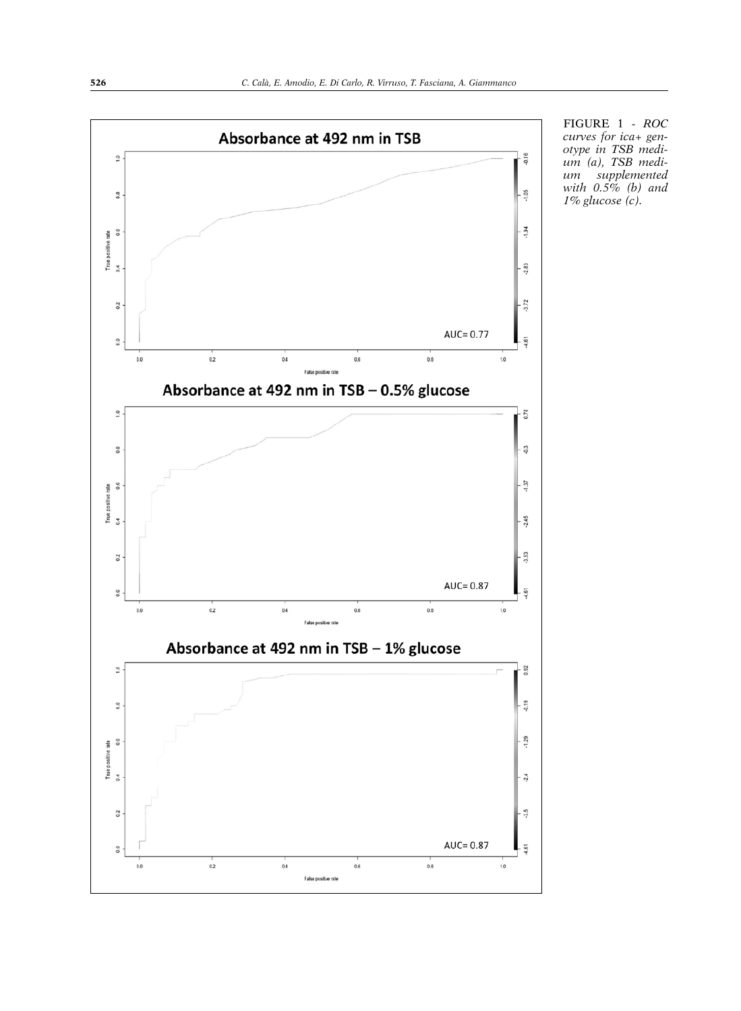

FIGURE 1 - *ROC curves for ica+ gen otype in TSB medi um (a), TSB medi um supplemented with 0.5% (b) and 1% glucose (c).*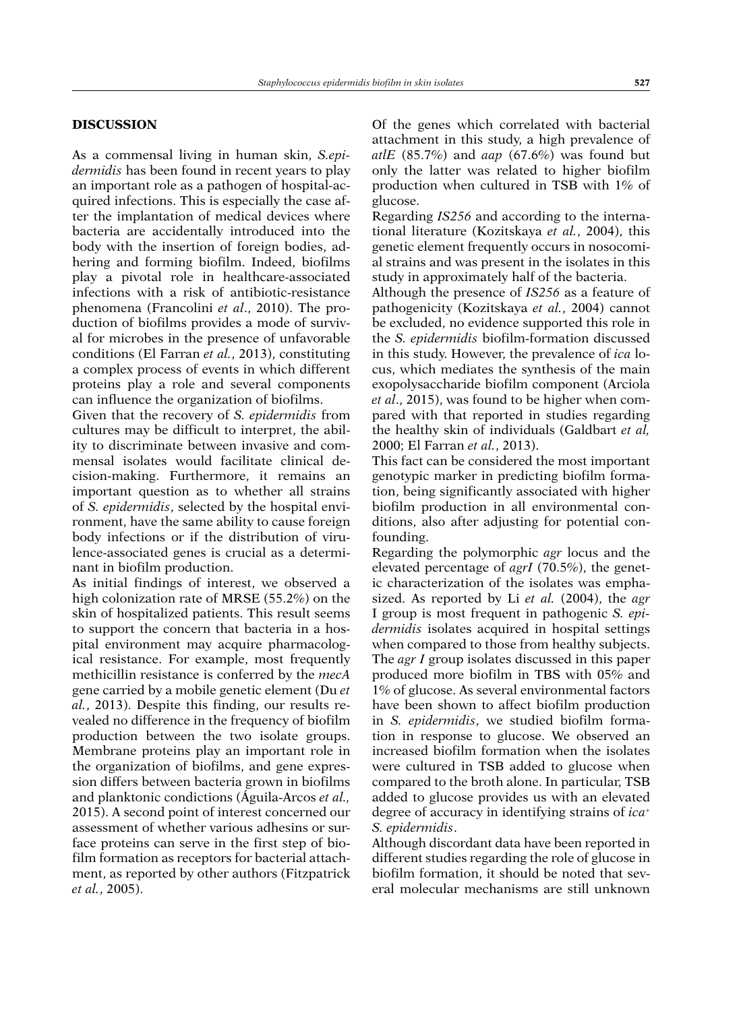## **DISCUSSION**

As a commensal living in human skin, *S.epidermidis* has been found in recent years to play an important role as a pathogen of hospital-acquired infections. This is especially the case after the implantation of medical devices where bacteria are accidentally introduced into the body with the insertion of foreign bodies, adhering and forming biofilm. Indeed, biofilms play a pivotal role in healthcare-associated infections with a risk of antibiotic-resistance phenomena (Francolini *et al*., 2010). The production of biofilms provides a mode of survival for microbes in the presence of unfavorable conditions (El Farran *et al.*, 2013), constituting a complex process of events in which different proteins play a role and several components can influence the organization of biofilms.

Given that the recovery of *S. epidermidis* from cultures may be difficult to interpret, the ability to discriminate between invasive and commensal isolates would facilitate clinical decision-making. Furthermore, it remains an important question as to whether all strains of *S. epidermidis*, selected by the hospital environment, have the same ability to cause foreign body infections or if the distribution of virulence-associated genes is crucial as a determinant in biofilm production.

As initial findings of interest, we observed a high colonization rate of MRSE (55.2%) on the skin of hospitalized patients. This result seems to support the concern that bacteria in a hospital environment may acquire pharmacological resistance. For example, most frequently methicillin resistance is conferred by the *mecA* gene carried by a mobile genetic element (Du *et al.*, 2013). Despite this finding, our results revealed no difference in the frequency of biofilm production between the two isolate groups. Membrane proteins play an important role in the organization of biofilms, and gene expression differs between bacteria grown in biofilms and planktonic condictions (Águila-Arcos *et al.,* 2015). A second point of interest concerned our assessment of whether various adhesins or surface proteins can serve in the first step of biofilm formation as receptors for bacterial attachment, as reported by other authors (Fitzpatrick *et al.*, 2005).

Of the genes which correlated with bacterial attachment in this study, a high prevalence of *atlE* (85.7%) and *aap* (67.6%) was found but only the latter was related to higher biofilm production when cultured in TSB with 1% of glucose.

Regarding *IS256* and according to the international literature (Kozitskaya *et al.*, 2004), this genetic element frequently occurs in nosocomial strains and was present in the isolates in this study in approximately half of the bacteria.

Although the presence of *IS256* as a feature of pathogenicity (Kozitskaya *et al.*, 2004) cannot be excluded, no evidence supported this role in the *S. epidermidis* biofilm-formation discussed in this study. However, the prevalence of *ica* locus, which mediates the synthesis of the main exopolysaccharide biofilm component (Arciola *et al*., 2015), was found to be higher when compared with that reported in studies regarding the healthy skin of individuals (Galdbart *et al,*  2000; El Farran *et al.*, 2013).

This fact can be considered the most important genotypic marker in predicting biofilm formation, being significantly associated with higher biofilm production in all environmental conditions, also after adjusting for potential confounding.

Regarding the polymorphic *agr* locus and the elevated percentage of *agrI* (70.5%), the genetic characterization of the isolates was emphasized. As reported by Li *et al.* (2004), the *agr* I group is most frequent in pathogenic *S. epidermidis* isolates acquired in hospital settings when compared to those from healthy subjects. The *agr I* group isolates discussed in this paper produced more biofilm in TBS with 05% and 1% of glucose. As several environmental factors have been shown to affect biofilm production in *S. epidermidis*, we studied biofilm formation in response to glucose. We observed an increased biofilm formation when the isolates were cultured in TSB added to glucose when compared to the broth alone. In particular, TSB added to glucose provides us with an elevated degree of accuracy in identifying strains of *ica*<sup>+</sup> *S. epidermidis*.

Although discordant data have been reported in different studies regarding the role of glucose in biofilm formation, it should be noted that several molecular mechanisms are still unknown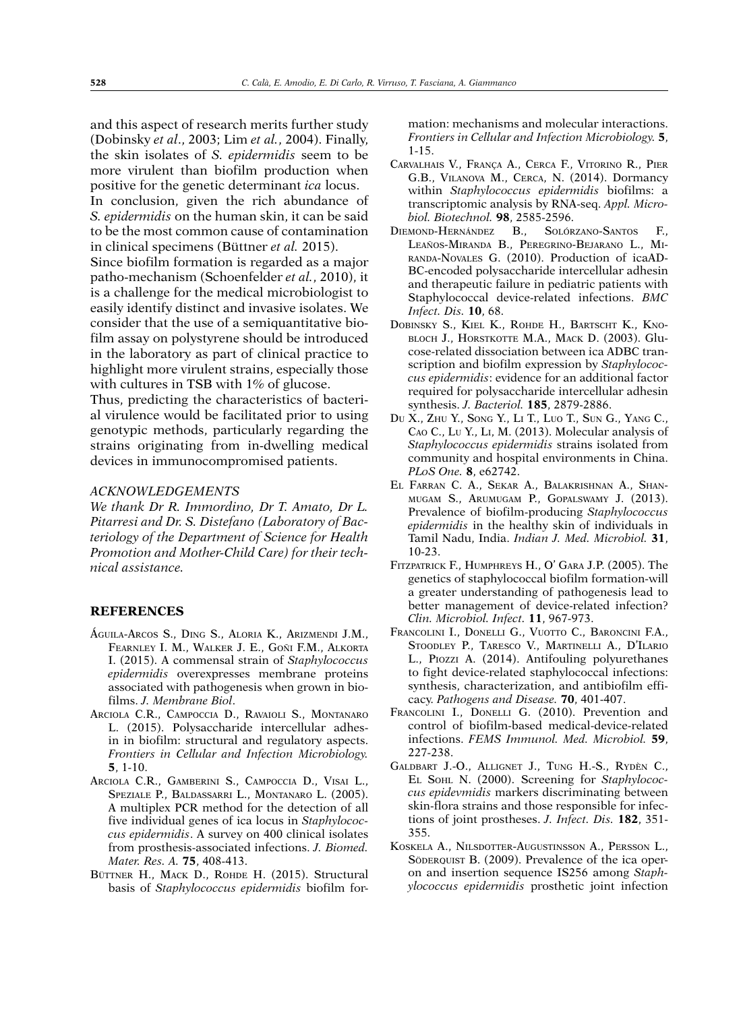and this aspect of research merits further study (Dobinsky *et al*., 2003; Lim *et al.*, 2004). Finally, the skin isolates of *S. epidermidis* seem to be more virulent than biofilm production when positive for the genetic determinant *ica* locus. In conclusion, given the rich abundance of

*S. epidermidis* on the human skin, it can be said to be the most common cause of contamination in clinical specimens (Büttner *et al.* 2015).

Since biofilm formation is regarded as a major patho-mechanism (Schoenfelder *et al.*, 2010), it is a challenge for the medical microbiologist to easily identify distinct and invasive isolates. We consider that the use of a semiquantitative biofilm assay on polystyrene should be introduced in the laboratory as part of clinical practice to highlight more virulent strains, especially those with cultures in TSB with 1% of glucose.

Thus, predicting the characteristics of bacterial virulence would be facilitated prior to using genotypic methods, particularly regarding the strains originating from in-dwelling medical devices in immunocompromised patients.

#### *ACKNOWLEDGEMENTS*

*We thank Dr R. Immordino, Dr T. Amato, Dr L. Pitarresi and Dr. S. Distefano (Laboratory of Bacteriology of the Department of Science for Health Promotion and Mother-Child Care) for their technical assistance.*

## **REFERENCES**

- Águila-Arcos S., Ding S., Aloria K., Arizmendi J.M., Fearnley I. M., Walker J. E., Goñi F.M., Alkorta I. (2015). A commensal strain of *Staphylococcus epidermidis* overexpresses membrane proteins associated with pathogenesis when grown in biofilms. *J. Membrane Biol*.
- Arciola C.R., Campoccia D., Ravaioli S., Montanaro L. (2015). Polysaccharide intercellular adhesin in biofilm: structural and regulatory aspects. *Frontiers in Cellular and Infection Microbiology.*  **5**, 1-10.
- Arciola C.R., Gamberini S., Campoccia D., Visai L., Speziale P., Baldassarri L., Montanaro L. (2005). A multiplex PCR method for the detection of all five individual genes of ica locus in *Staphylococcus epidermidis*. A survey on 400 clinical isolates from prosthesis-associated infections. *J. Biomed. Mater. Res. A.* **75**, 408-413.
- BÜTTNER H., MACK D., ROHDE H. (2015). Structural basis of *Staphylococcus epidermidis* biofilm for-

mation: mechanisms and molecular interactions. *Frontiers in Cellular and Infection Microbiology.* **5**, 1-15.

- Carvalhais V., França A., Cerca F., Vitorino R., Pier G.B., Vilanova M., Cerca, N. (2014). Dormancy within *Staphylococcus epidermidis* biofilms: a transcriptomic analysis by RNA-seq. *Appl. Microbiol. Biotechnol.* **98**, 2585-2596.
- Diemond-Hernández B., Solórzano-Santos F., Leaños-Miranda B., Peregrino-Bejarano L., Miranda-Novales G. (2010). Production of icaAD-BC-encoded polysaccharide intercellular adhesin and therapeutic failure in pediatric patients with Staphylococcal device-related infections. *BMC Infect. Dis.* **10**, 68.
- Dobinsky S., Kiel K., Rohde H., Bartscht K., Knobloch J., Horstkotte M.A., Mack D. (2003). Glucose-related dissociation between ica ADBC transcription and biofilm expression by *Staphylococcus epidermidis*: evidence for an additional factor required for polysaccharide intercellular adhesin synthesis. *J. Bacteriol.* **185**, 2879-2886.
- Du X., Zhu Y., Song Y., Li T., Luo T., Sun G., Yang C., Cao C., Lu Y., Li, M. (2013). Molecular analysis of *Staphylococcus epidermidis* strains isolated from community and hospital environments in China. *PLoS One.* **8**, e62742.
- El Farran C. A., Sekar A., Balakrishnan A., Shanmugam S., Arumugam P., Gopalswamy J. (2013). Prevalence of biofilm-producing *Staphylococcus epidermidis* in the healthy skin of individuals in Tamil Nadu, India. *Indian J. Med. Microbiol.* **31**, 10-23.
- Fitzpatrick F., Humphreys H., O' Gara J.P. (2005). The genetics of staphylococcal biofilm formation-will a greater understanding of pathogenesis lead to better management of device-related infection? *Clin. Microbiol. Infect.* **11**, 967-973.
- FRANCOLINI I., DONELLI G., VUOTTO C., BARONCINI F.A., Stoodley P., Taresco V., Martinelli A., D'Ilario L., Piozzi A. (2014). Antifouling polyurethanes to fight device-related staphylococcal infections: synthesis, characterization, and antibiofilm efficacy. *Pathogens and Disease.* **70**, 401-407.
- Francolini I., Donelli G. (2010). Prevention and control of biofilm-based medical-device-related infections. *FEMS Immunol. Med. Microbiol.* **59**, 227-238.
- Galdbart J.-O., Allignet J., Tung H.-S., Rydèn C., El Sohl N. (2000). Screening for *Staphylococcus epidevmidis* markers discriminating between skin-flora strains and those responsible for infections of joint prostheses. *J. Infect. Dis.* **182**, 351- 355.
- Koskela A., Nilsdotter-Augustinsson A., Persson L., SÖDERQUIST B. (2009). Prevalence of the ica operon and insertion sequence IS256 among *Staphylococcus epidermidis* prosthetic joint infection